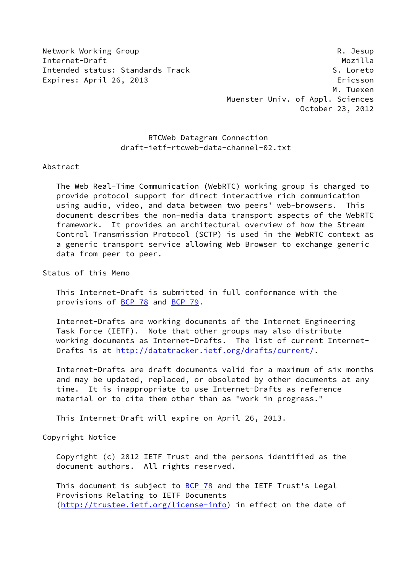Network Working Group **Reading Reading Community** R. Jesup

Internet-Draft Mozilla Intended status: Standards Track S. Loreto Expires: April 26, 2013 **Expires: April 26, 2013**  M. Tuexen Muenster Univ. of Appl. Sciences October 23, 2012

# RTCWeb Datagram Connection draft-ietf-rtcweb-data-channel-02.txt

#### Abstract

 The Web Real-Time Communication (WebRTC) working group is charged to provide protocol support for direct interactive rich communication using audio, video, and data between two peers' web-browsers. This document describes the non-media data transport aspects of the WebRTC framework. It provides an architectural overview of how the Stream Control Transmission Protocol (SCTP) is used in the WebRTC context as a generic transport service allowing Web Browser to exchange generic data from peer to peer.

Status of this Memo

 This Internet-Draft is submitted in full conformance with the provisions of [BCP 78](https://datatracker.ietf.org/doc/pdf/bcp78) and [BCP 79](https://datatracker.ietf.org/doc/pdf/bcp79).

 Internet-Drafts are working documents of the Internet Engineering Task Force (IETF). Note that other groups may also distribute working documents as Internet-Drafts. The list of current Internet- Drafts is at<http://datatracker.ietf.org/drafts/current/>.

 Internet-Drafts are draft documents valid for a maximum of six months and may be updated, replaced, or obsoleted by other documents at any time. It is inappropriate to use Internet-Drafts as reference material or to cite them other than as "work in progress."

This Internet-Draft will expire on April 26, 2013.

Copyright Notice

 Copyright (c) 2012 IETF Trust and the persons identified as the document authors. All rights reserved.

This document is subject to **[BCP 78](https://datatracker.ietf.org/doc/pdf/bcp78)** and the IETF Trust's Legal Provisions Relating to IETF Documents [\(http://trustee.ietf.org/license-info](http://trustee.ietf.org/license-info)) in effect on the date of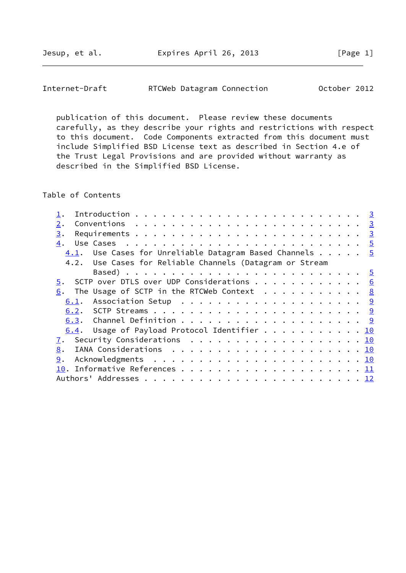Jesup, et al. Expires April 26, 2013 [Page 1]

Internet-Draft RTCWeb Datagram Connection October 2012

 publication of this document. Please review these documents carefully, as they describe your rights and restrictions with respect to this document. Code Components extracted from this document must include Simplified BSD License text as described in Section 4.e of the Trust Legal Provisions and are provided without warranty as described in the Simplified BSD License.

Table of Contents

| 2.                                                                                             |  |  |
|------------------------------------------------------------------------------------------------|--|--|
| 3.                                                                                             |  |  |
| Use Cases $\ldots \ldots \ldots \ldots \ldots \ldots \ldots \ldots \ldots \ldots \vdots$<br>4. |  |  |
| $4.1$ . Use Cases for Unreliable Datagram Based Channels $5$                                   |  |  |
| 4.2. Use Cases for Reliable Channels (Datagram or Stream                                       |  |  |
|                                                                                                |  |  |
| SCTP over DTLS over UDP Considerations 6<br>5.                                                 |  |  |
| The Usage of SCTP in the RTCWeb Context $\cdots$ 8<br>6.                                       |  |  |
|                                                                                                |  |  |
|                                                                                                |  |  |
|                                                                                                |  |  |
| 6.4. Usage of Payload Protocol Identifier 10                                                   |  |  |
| 7. Security Considerations 10                                                                  |  |  |
| 8.                                                                                             |  |  |
| 9.                                                                                             |  |  |
|                                                                                                |  |  |
|                                                                                                |  |  |
|                                                                                                |  |  |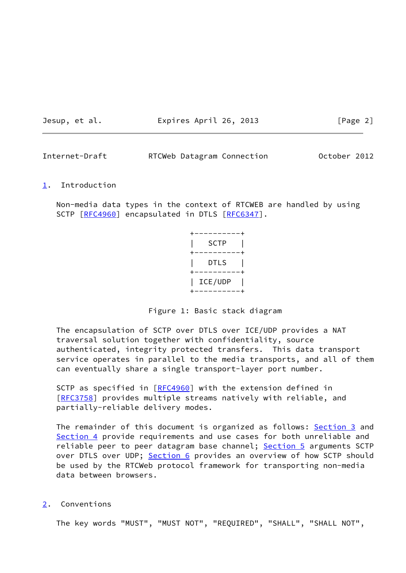Jesup, et al. Expires April 26, 2013 [Page 2]

<span id="page-2-1"></span>Internet-Draft RTCWeb Datagram Connection October 2012

#### <span id="page-2-0"></span>[1](#page-2-0). Introduction

 Non-media data types in the context of RTCWEB are handled by using SCTP [\[RFC4960](https://datatracker.ietf.org/doc/pdf/rfc4960)] encapsulated in DTLS [\[RFC6347](https://datatracker.ietf.org/doc/pdf/rfc6347)].

| SCTP    |
|---------|
| DTLS    |
| ICE/UDP |

Figure 1: Basic stack diagram

 The encapsulation of SCTP over DTLS over ICE/UDP provides a NAT traversal solution together with confidentiality, source authenticated, integrity protected transfers. This data transport service operates in parallel to the media transports, and all of them can eventually share a single transport-layer port number.

SCTP as specified in [\[RFC4960](https://datatracker.ietf.org/doc/pdf/rfc4960)] with the extension defined in [\[RFC3758](https://datatracker.ietf.org/doc/pdf/rfc3758)] provides multiple streams natively with reliable, and partially-reliable delivery modes.

The remainder of this document is organized as follows: [Section 3](#page-3-0) and [Section 4](#page-4-0) provide requirements and use cases for both unreliable and reliable peer to peer datagram base channel; [Section 5](#page-5-0) arguments SCTP over DTLS over UDP; [Section 6](#page-8-0) provides an overview of how SCTP should be used by the RTCWeb protocol framework for transporting non-media data between browsers.

<span id="page-2-2"></span>[2](#page-2-2). Conventions

The key words "MUST", "MUST NOT", "REQUIRED", "SHALL", "SHALL NOT",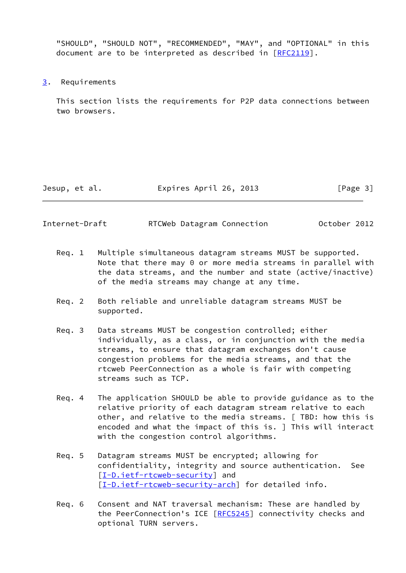"SHOULD", "SHOULD NOT", "RECOMMENDED", "MAY", and "OPTIONAL" in this document are to be interpreted as described in [\[RFC2119](https://datatracker.ietf.org/doc/pdf/rfc2119)].

<span id="page-3-0"></span>[3](#page-3-0). Requirements

 This section lists the requirements for P2P data connections between two browsers.

Jesup, et al. Expires April 26, 2013 [Page 3]

| Internet-Draft | RTCWeb Datagram Connection |  | October 2012 |  |
|----------------|----------------------------|--|--------------|--|
|----------------|----------------------------|--|--------------|--|

- Req. 1 Multiple simultaneous datagram streams MUST be supported. Note that there may 0 or more media streams in parallel with the data streams, and the number and state (active/inactive) of the media streams may change at any time.
- Req. 2 Both reliable and unreliable datagram streams MUST be supported.
- Req. 3 Data streams MUST be congestion controlled; either individually, as a class, or in conjunction with the media streams, to ensure that datagram exchanges don't cause congestion problems for the media streams, and that the rtcweb PeerConnection as a whole is fair with competing streams such as TCP.
- Req. 4 The application SHOULD be able to provide guidance as to the relative priority of each datagram stream relative to each other, and relative to the media streams. [ TBD: how this is encoded and what the impact of this is. ] This will interact with the congestion control algorithms.
- Req. 5 Datagram streams MUST be encrypted; allowing for confidentiality, integrity and source authentication. See [\[I-D.ietf-rtcweb-security](#page-11-3)] and [\[I-D.ietf-rtcweb-security-arch\]](#page-12-1) for detailed info.
- Req. 6 Consent and NAT traversal mechanism: These are handled by the PeerConnection's ICE [[RFC5245](https://datatracker.ietf.org/doc/pdf/rfc5245)] connectivity checks and optional TURN servers.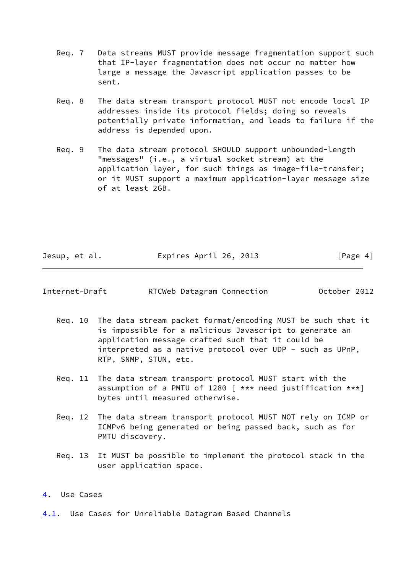- Req. 7 Data streams MUST provide message fragmentation support such that IP-layer fragmentation does not occur no matter how large a message the Javascript application passes to be sent.
- Req. 8 The data stream transport protocol MUST not encode local IP addresses inside its protocol fields; doing so reveals potentially private information, and leads to failure if the address is depended upon.
- Req. 9 The data stream protocol SHOULD support unbounded-length "messages" (i.e., a virtual socket stream) at the application layer, for such things as image-file-transfer; or it MUST support a maximum application-layer message size of at least 2GB.

|  | Jesup, et al. |  | Expires April 26, 2013 | [Page 4] |
|--|---------------|--|------------------------|----------|
|--|---------------|--|------------------------|----------|

<span id="page-4-1"></span>

| Internet-Draft | RTCWeb Datagram Connection | October 2012 |  |
|----------------|----------------------------|--------------|--|
|                |                            |              |  |

- Req. 10 The data stream packet format/encoding MUST be such that it is impossible for a malicious Javascript to generate an application message crafted such that it could be interpreted as a native protocol over UDP - such as UPnP, RTP, SNMP, STUN, etc.
- Req. 11 The data stream transport protocol MUST start with the assumption of a PMTU of 1280  $\lceil$  \*\*\* need justification \*\*\*] bytes until measured otherwise.
- Req. 12 The data stream transport protocol MUST NOT rely on ICMP or ICMPv6 being generated or being passed back, such as for PMTU discovery.
- Req. 13 It MUST be possible to implement the protocol stack in the user application space.

## <span id="page-4-0"></span>[4](#page-4-0). Use Cases

<span id="page-4-2"></span>[4.1](#page-4-2). Use Cases for Unreliable Datagram Based Channels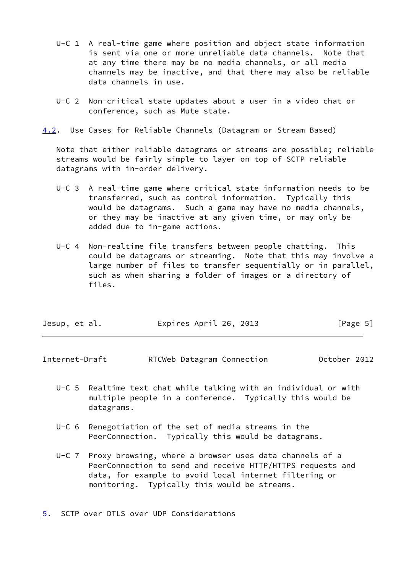- U-C 1 A real-time game where position and object state information is sent via one or more unreliable data channels. Note that at any time there may be no media channels, or all media channels may be inactive, and that there may also be reliable data channels in use.
- U-C 2 Non-critical state updates about a user in a video chat or conference, such as Mute state.
- <span id="page-5-2"></span>[4.2](#page-5-2). Use Cases for Reliable Channels (Datagram or Stream Based)

 Note that either reliable datagrams or streams are possible; reliable streams would be fairly simple to layer on top of SCTP reliable datagrams with in-order delivery.

- U-C 3 A real-time game where critical state information needs to be transferred, such as control information. Typically this would be datagrams. Such a game may have no media channels, or they may be inactive at any given time, or may only be added due to in-game actions.
- U-C 4 Non-realtime file transfers between people chatting. This could be datagrams or streaming. Note that this may involve a large number of files to transfer sequentially or in parallel, such as when sharing a folder of images or a directory of files.

| Jesup, et al. | Expires April 26, 2013 | [Page 5] |
|---------------|------------------------|----------|
|---------------|------------------------|----------|

<span id="page-5-1"></span>Internet-Draft RTCWeb Datagram Connection October 2012

- U-C 5 Realtime text chat while talking with an individual or with multiple people in a conference. Typically this would be datagrams.
- U-C 6 Renegotiation of the set of media streams in the PeerConnection. Typically this would be datagrams.
- U-C 7 Proxy browsing, where a browser uses data channels of a PeerConnection to send and receive HTTP/HTTPS requests and data, for example to avoid local internet filtering or monitoring. Typically this would be streams.

<span id="page-5-0"></span>[5](#page-5-0). SCTP over DTLS over UDP Considerations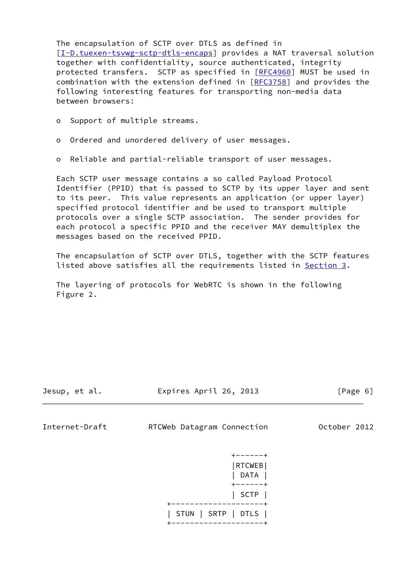The encapsulation of SCTP over DTLS as defined in [\[I-D.tuexen-tsvwg-sctp-dtls-encaps](#page-12-2)] provides a NAT traversal solution together with confidentiality, source authenticated, integrity protected transfers. SCTP as specified in [[RFC4960\]](https://datatracker.ietf.org/doc/pdf/rfc4960) MUST be used in combination with the extension defined in [[RFC3758](https://datatracker.ietf.org/doc/pdf/rfc3758)] and provides the following interesting features for transporting non-media data between browsers:

- o Ordered and unordered delivery of user messages.
- o Reliable and partial-reliable transport of user messages.

 Each SCTP user message contains a so called Payload Protocol Identifier (PPID) that is passed to SCTP by its upper layer and sent to its peer. This value represents an application (or upper layer) specified protocol identifier and be used to transport multiple protocols over a single SCTP association. The sender provides for each protocol a specific PPID and the receiver MAY demultiplex the messages based on the received PPID.

 The encapsulation of SCTP over DTLS, together with the SCTP features listed above satisfies all the requirements listed in [Section 3.](#page-3-0)

 The layering of protocols for WebRTC is shown in the following Figure 2.

Jesup, et al. Expires April 26, 2013 [Page 6]

Internet-Draft RTCWeb Datagram Connection October 2012

 $+ - - - - - +$  |RTCWEB| | DATA | +------+ | SCTP | +--------------------+ | STUN | SRTP | DTLS | +--------------------+

o Support of multiple streams.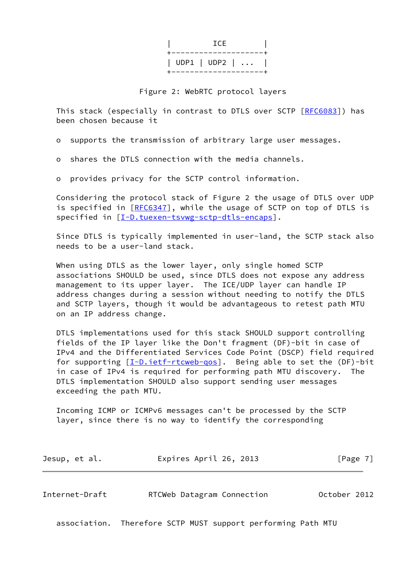| <b>ICE</b>                                        |
|---------------------------------------------------|
| ---------------------<br>  UDP1   UDP2   $\ldots$ |

Figure 2: WebRTC protocol layers

 This stack (especially in contrast to DTLS over SCTP [\[RFC6083](https://datatracker.ietf.org/doc/pdf/rfc6083)]) has been chosen because it

o supports the transmission of arbitrary large user messages.

o shares the DTLS connection with the media channels.

o provides privacy for the SCTP control information.

 Considering the protocol stack of Figure 2 the usage of DTLS over UDP is specified in [\[RFC6347](https://datatracker.ietf.org/doc/pdf/rfc6347)], while the usage of SCTP on top of DTLS is specified in [\[I-D.tuexen-tsvwg-sctp-dtls-encaps\]](#page-12-2).

 Since DTLS is typically implemented in user-land, the SCTP stack also needs to be a user-land stack.

 When using DTLS as the lower layer, only single homed SCTP associations SHOULD be used, since DTLS does not expose any address management to its upper layer. The ICE/UDP layer can handle IP address changes during a session without needing to notify the DTLS and SCTP layers, though it would be advantageous to retest path MTU on an IP address change.

 DTLS implementations used for this stack SHOULD support controlling fields of the IP layer like the Don't fragment (DF)-bit in case of IPv4 and the Differentiated Services Code Point (DSCP) field required for supporting  $[I-D.iett-trcweb-qos]$ . Being able to set the  $(DF)-bit$  in case of IPv4 is required for performing path MTU discovery. The DTLS implementation SHOULD also support sending user messages exceeding the path MTU.

 Incoming ICMP or ICMPv6 messages can't be processed by the SCTP layer, since there is no way to identify the corresponding

| Jesup, et al. |  | Expires April 26, 2013 |  | [Page 7] |
|---------------|--|------------------------|--|----------|
|---------------|--|------------------------|--|----------|

<span id="page-7-0"></span>Internet-Draft RTCWeb Datagram Connection October 2012

association. Therefore SCTP MUST support performing Path MTU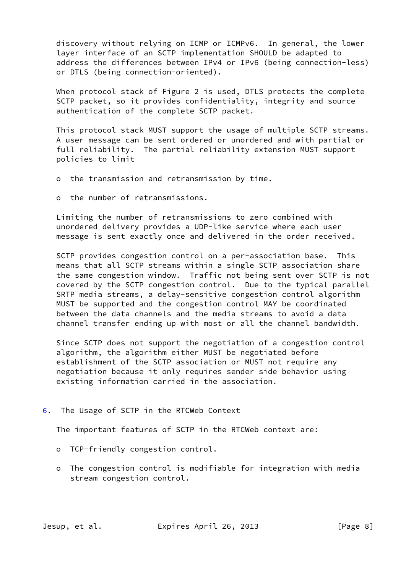discovery without relying on ICMP or ICMPv6. In general, the lower layer interface of an SCTP implementation SHOULD be adapted to address the differences between IPv4 or IPv6 (being connection-less) or DTLS (being connection-oriented).

 When protocol stack of Figure 2 is used, DTLS protects the complete SCTP packet, so it provides confidentiality, integrity and source authentication of the complete SCTP packet.

 This protocol stack MUST support the usage of multiple SCTP streams. A user message can be sent ordered or unordered and with partial or full reliability. The partial reliability extension MUST support policies to limit

- o the transmission and retransmission by time.
- o the number of retransmissions.

 Limiting the number of retransmissions to zero combined with unordered delivery provides a UDP-like service where each user message is sent exactly once and delivered in the order received.

 SCTP provides congestion control on a per-association base. This means that all SCTP streams within a single SCTP association share the same congestion window. Traffic not being sent over SCTP is not covered by the SCTP congestion control. Due to the typical parallel SRTP media streams, a delay-sensitive congestion control algorithm MUST be supported and the congestion control MAY be coordinated between the data channels and the media streams to avoid a data channel transfer ending up with most or all the channel bandwidth.

 Since SCTP does not support the negotiation of a congestion control algorithm, the algorithm either MUST be negotiated before establishment of the SCTP association or MUST not require any negotiation because it only requires sender side behavior using existing information carried in the association.

## <span id="page-8-0"></span>[6](#page-8-0). The Usage of SCTP in the RTCWeb Context

The important features of SCTP in the RTCWeb context are:

- o TCP-friendly congestion control.
- o The congestion control is modifiable for integration with media stream congestion control.

Jesup, et al. Expires April 26, 2013 [Page 8]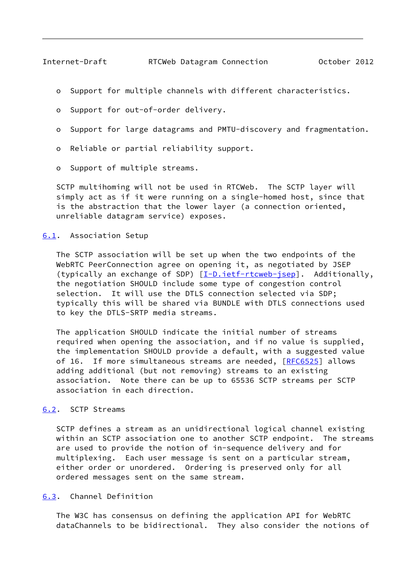- <span id="page-9-1"></span>o Support for multiple channels with different characteristics.
- o Support for out-of-order delivery.
- o Support for large datagrams and PMTU-discovery and fragmentation.
- o Reliable or partial reliability support.
- o Support of multiple streams.

 SCTP multihoming will not be used in RTCWeb. The SCTP layer will simply act as if it were running on a single-homed host, since that is the abstraction that the lower layer (a connection oriented, unreliable datagram service) exposes.

#### <span id="page-9-0"></span>[6.1](#page-9-0). Association Setup

 The SCTP association will be set up when the two endpoints of the WebRTC PeerConnection agree on opening it, as negotiated by JSEP (typically an exchange of SDP) [\[I-D.ietf-rtcweb-jsep](#page-12-4)]. Additionally, the negotiation SHOULD include some type of congestion control selection. It will use the DTLS connection selected via SDP; typically this will be shared via BUNDLE with DTLS connections used to key the DTLS-SRTP media streams.

 The application SHOULD indicate the initial number of streams required when opening the association, and if no value is supplied, the implementation SHOULD provide a default, with a suggested value of 16. If more simultaneous streams are needed, [\[RFC6525](https://datatracker.ietf.org/doc/pdf/rfc6525)] allows adding additional (but not removing) streams to an existing association. Note there can be up to 65536 SCTP streams per SCTP association in each direction.

## <span id="page-9-2"></span>[6.2](#page-9-2). SCTP Streams

 SCTP defines a stream as an unidirectional logical channel existing within an SCTP association one to another SCTP endpoint. The streams are used to provide the notion of in-sequence delivery and for multiplexing. Each user message is sent on a particular stream, either order or unordered. Ordering is preserved only for all ordered messages sent on the same stream.

## <span id="page-9-3"></span>[6.3](#page-9-3). Channel Definition

 The W3C has consensus on defining the application API for WebRTC dataChannels to be bidirectional. They also consider the notions of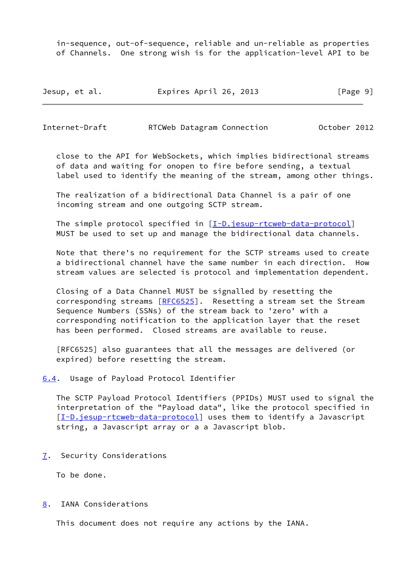in-sequence, out-of-sequence, reliable and un-reliable as properties of Channels. One strong wish is for the application-level API to be

| Jesup, et al. | Expires April 26, 2013 | [Page 9] |
|---------------|------------------------|----------|
|---------------|------------------------|----------|

<span id="page-10-1"></span>Internet-Draft RTCWeb Datagram Connection October 2012

 close to the API for WebSockets, which implies bidirectional streams of data and waiting for onopen to fire before sending, a textual label used to identify the meaning of the stream, among other things.

 The realization of a bidirectional Data Channel is a pair of one incoming stream and one outgoing SCTP stream.

The simple protocol specified in  $[I-D.java = true]$ MUST be used to set up and manage the bidirectional data channels.

 Note that there's no requirement for the SCTP streams used to create a bidirectional channel have the same number in each direction. How stream values are selected is protocol and implementation dependent.

 Closing of a Data Channel MUST be signalled by resetting the corresponding streams [[RFC6525](https://datatracker.ietf.org/doc/pdf/rfc6525)]. Resetting a stream set the Stream Sequence Numbers (SSNs) of the stream back to 'zero' with a corresponding notification to the application layer that the reset has been performed. Closed streams are available to reuse.

 [RFC6525] also guarantees that all the messages are delivered (or expired) before resetting the stream.

<span id="page-10-0"></span>[6.4](#page-10-0). Usage of Payload Protocol Identifier

 The SCTP Payload Protocol Identifiers (PPIDs) MUST used to signal the interpretation of the "Payload data", like the protocol specified in [\[I-D.jesup-rtcweb-data-protocol](#page-12-5)] uses them to identify a Javascript string, a Javascript array or a a Javascript blob.

<span id="page-10-2"></span>[7](#page-10-2). Security Considerations

To be done.

<span id="page-10-3"></span>[8](#page-10-3). IANA Considerations

This document does not require any actions by the IANA.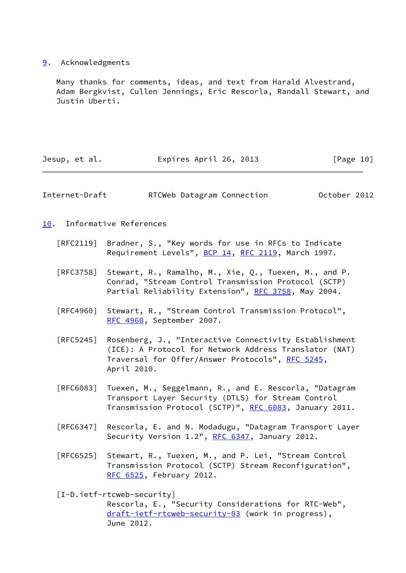## <span id="page-11-0"></span>[9](#page-11-0). Acknowledgments

 Many thanks for comments, ideas, and text from Harald Alvestrand, Adam Bergkvist, Cullen Jennings, Eric Rescorla, Randall Stewart, and Justin Uberti.

<span id="page-11-2"></span><span id="page-11-1"></span>

| Jesup, et al.                    | Expires April 26, 2013                                                                                                                                                              | [Page 10]    |
|----------------------------------|-------------------------------------------------------------------------------------------------------------------------------------------------------------------------------------|--------------|
| Internet-Draft                   | RTCWeb Datagram Connection                                                                                                                                                          | October 2012 |
| 10.                              | Informative References                                                                                                                                                              |              |
| $\lceil \mathsf{RFC2119} \rceil$ | Bradner, S., "Key words for use in RFCs to Indicate<br>Requirement Levels", BCP 14, RFC 2119, March 1997.                                                                           |              |
| [REC3758]                        | Stewart, R., Ramalho, M., Xie, Q., Tuexen, M., and P.<br>Conrad, "Stream Control Transmission Protocol (SCTP)<br>Partial Reliability Extension", RFC 3758, May 2004.                |              |
| [REC4960]                        | Stewart, R., "Stream Control Transmission Protocol",<br>RFC 4960, September 2007.                                                                                                   |              |
| $\lceil$ RFC5245]                | Rosenberg, J., "Interactive Connectivity Establishment<br>(ICE): A Protocol for Network Address Translator (NAT)<br>Traversal for Offer/Answer Protocols", RFC 5245,<br>April 2010. |              |
| [REG083]                         | Tuexen, M., Seggelmann, R., and E. Rescorla, "Datagram<br>Transport Layer Security (DTLS) for Stream Control<br>Transmission Protocol (SCTP)", RFC 6083, January 2011.              |              |
| [REG347]                         | Rescorla, E. and N. Modadugu, "Datagram Transport Layer<br>Security Version 1.2", RFC 6347, January 2012.                                                                           |              |
| [RFC6525]                        | Stewart, R., Tuexen, M., and P. Lei, "Stream Control<br>Transmission Protocol (SCTP) Stream Reconfiguration",<br>RFC 6525, February 2012.                                           |              |
|                                  | $[I-D.ietf-rtcweb-security]$<br>Rescorla, E., "Security Considerations for RTC-Web",<br>draft-ietf-rtcweb-security-03 (work in progress),                                           |              |

<span id="page-11-3"></span>June 2012.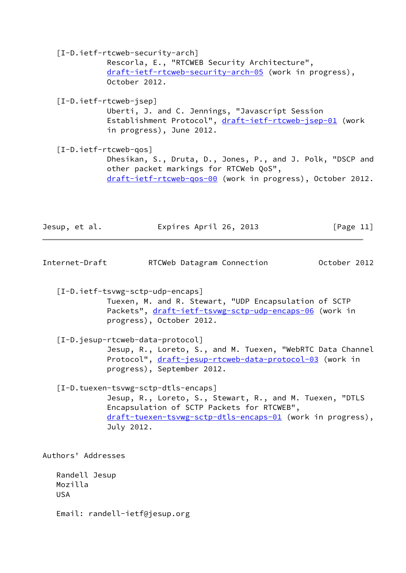<span id="page-12-4"></span><span id="page-12-3"></span><span id="page-12-1"></span> [I-D.ietf-rtcweb-security-arch] Rescorla, E., "RTCWEB Security Architecture", [draft-ietf-rtcweb-security-arch-05](https://datatracker.ietf.org/doc/pdf/draft-ietf-rtcweb-security-arch-05) (work in progress), October 2012. [I-D.ietf-rtcweb-jsep] Uberti, J. and C. Jennings, "Javascript Session Establishment Protocol", [draft-ietf-rtcweb-jsep-01](https://datatracker.ietf.org/doc/pdf/draft-ietf-rtcweb-jsep-01) (work in progress), June 2012. [I-D.ietf-rtcweb-qos] Dhesikan, S., Druta, D., Jones, P., and J. Polk, "DSCP and other packet markings for RTCWeb QoS", [draft-ietf-rtcweb-qos-00](https://datatracker.ietf.org/doc/pdf/draft-ietf-rtcweb-qos-00) (work in progress), October 2012. Jesup, et al. Expires April 26, 2013 [Page 11] Internet-Draft RTCWeb Datagram Connection October 2012 [I-D.ietf-tsvwg-sctp-udp-encaps] Tuexen, M. and R. Stewart, "UDP Encapsulation of SCTP Packets", [draft-ietf-tsvwg-sctp-udp-encaps-06](https://datatracker.ietf.org/doc/pdf/draft-ietf-tsvwg-sctp-udp-encaps-06) (work in progress), October 2012. [I-D.jesup-rtcweb-data-protocol]

<span id="page-12-5"></span><span id="page-12-0"></span> Jesup, R., Loreto, S., and M. Tuexen, "WebRTC Data Channel Protocol", [draft-jesup-rtcweb-data-protocol-03](https://datatracker.ietf.org/doc/pdf/draft-jesup-rtcweb-data-protocol-03) (work in progress), September 2012.

<span id="page-12-2"></span> [I-D.tuexen-tsvwg-sctp-dtls-encaps] Jesup, R., Loreto, S., Stewart, R., and M. Tuexen, "DTLS Encapsulation of SCTP Packets for RTCWEB", [draft-tuexen-tsvwg-sctp-dtls-encaps-01](https://datatracker.ietf.org/doc/pdf/draft-tuexen-tsvwg-sctp-dtls-encaps-01) (work in progress), July 2012.

Authors' Addresses

 Randell Jesup Mozilla USA

Email: randell-ietf@jesup.org